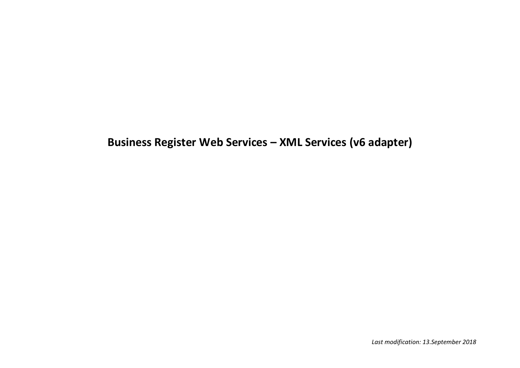# **Business Register Web Services – XML Services (v6 adapter)**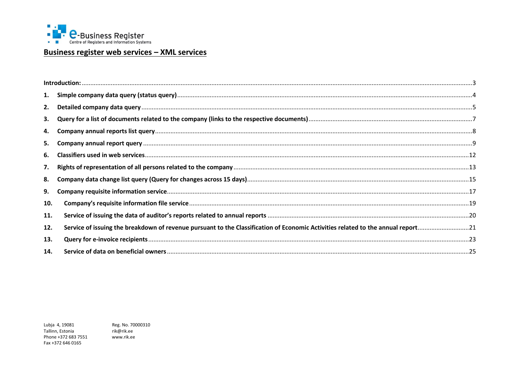

## <u>Business register web services - XML services</u>

| 1.  |                                                                                                                                  |  |
|-----|----------------------------------------------------------------------------------------------------------------------------------|--|
| 2.  |                                                                                                                                  |  |
| 3.  |                                                                                                                                  |  |
| 4.  |                                                                                                                                  |  |
| 5.  |                                                                                                                                  |  |
| 6.  |                                                                                                                                  |  |
| 7.  |                                                                                                                                  |  |
| 8.  |                                                                                                                                  |  |
| 9.  |                                                                                                                                  |  |
| 10. |                                                                                                                                  |  |
| 11. |                                                                                                                                  |  |
| 12. | Service of issuing the breakdown of revenue pursuant to the Classification of Economic Activities related to the annual report21 |  |
| 13. |                                                                                                                                  |  |
| 14. |                                                                                                                                  |  |

Lubja 4, 19081 Tallinn, Estonia Phone +372 683 7551 Fax +372 646 0165

Reg. No. 70000310 rik@rik.ee www.rik.ee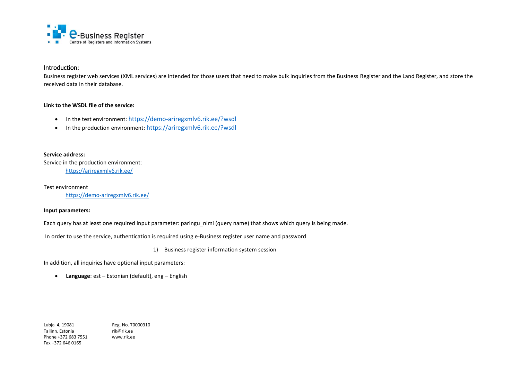

## <span id="page-2-0"></span>Introduction:

Business register web services (XML services) are intended for those users that need to make bulk inquiries from the Business Register and the Land Register, and store the received data in their database.

#### **Link to the WSDL file of the service:**

- In the test environment: <https://demo-ariregxmlv6.rik.ee/?wsdl>
- In the production environment: <https://ariregxmlv6.rik.ee/?wsdl>

#### **Service address:**

Service in the production environment: <https://ariregxmlv6.rik.ee/>

Test environment <https://demo-ariregxmlv6.rik.ee/>

#### **Input parameters:**

Each query has at least one required input parameter: paringu nimi (query name) that shows which query is being made.

In order to use the service, authentication is required using e-Business register user name and password

1) Business register information system session

In addition, all inquiries have optional input parameters:

**Language**: est – Estonian (default), eng – English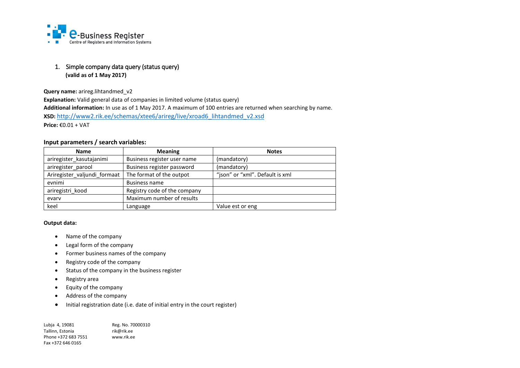

## <span id="page-3-0"></span>1. Simple company data query (status query) **(valid as of 1 May 2017)**

**Query name:** arireg.lihtandmed v2

**Explanation:** Valid general data of companies in limited volume (status query) **Additional information:** In use as of 1 May 2017. A maximum of 100 entries are returned when searching by name. **XSD:** [http://www2.rik.ee/schemas/xtee6/arireg/live/xroad6\\_lihtandmed\\_v2.xsd](http://www2.rik.ee/schemas/xtee6/arireg/live/xroad6_lihtandmed_v2.xsd) **Price:** €0.01 + VAT

#### **Input parameters / search variables:**

| <b>Name</b>                  | <b>Meaning</b>               | <b>Notes</b>                    |
|------------------------------|------------------------------|---------------------------------|
| ariregister kasutajanimi     | Business register user name  | (mandatory)                     |
| ariregister_parool           | Business register password   | (mandatory)                     |
| Ariregister_valjundi_formaat | The format of the outpot     | "json" or "xml". Default is xml |
| evnimi                       | <b>Business name</b>         |                                 |
| ariregistri kood             | Registry code of the company |                                 |
| evary                        | Maximum number of results    |                                 |
| keel                         | Language                     | Value est or eng                |

#### **Output data:**

- Name of the company
- Legal form of the company
- Former business names of the company
- Registry code of the company
- Status of the company in the business register
- Registry area
- Equity of the company
- Address of the company
- Initial registration date (i.e. date of initial entry in the court register)

| Lubja 4, 19081      | Reg. No. 70000310 |
|---------------------|-------------------|
| Tallinn. Estonia    | rik@rik.ee        |
| Phone +372 683 7551 | www.rik.ee        |
| Fax +372 646 0165   |                   |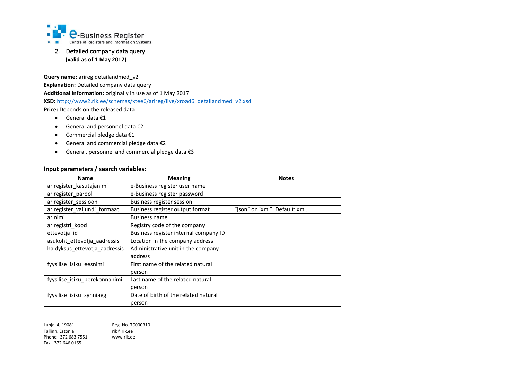

## <span id="page-4-0"></span>2. Detailed company data query **(valid as of 1 May 2017)**

**Query name:** arireg.detailandmed v2

**Explanation:** Detailed company data query **Additional information:** originally in use as of 1 May 2017 **XSD:** [http://www2.rik.ee/schemas/xtee6/arireg/live/xroad6\\_detailandmed\\_v2.xsd](http://www2.rik.ee/schemas/xtee6/arireg/live/xroad6_detailandmed_v2.xsd) **Price:** Depends on the released data

- General data €1
- General and personnel data €2
- Commercial pledge data €1
- General and commercial pledge data €2
- General, personnel and commercial pledge data €3

## **Input parameters / search variables:**

| <b>Name</b>                   | <b>Meaning</b>                        | <b>Notes</b>                   |
|-------------------------------|---------------------------------------|--------------------------------|
| ariregister kasutajanimi      | e-Business register user name         |                                |
| ariregister parool            | e-Business register password          |                                |
| ariregister sessioon          | Business register session             |                                |
| ariregister_valjundi_formaat  | Business register output format       | "json" or "xml". Default: xml. |
| arinimi                       | <b>Business name</b>                  |                                |
| ariregistri kood              | Registry code of the company          |                                |
| ettevotja_id                  | Business register internal company ID |                                |
| asukoht_ettevotja_aadressis   | Location in the company address       |                                |
| haldyksus_ettevotja_aadressis | Administrative unit in the company    |                                |
|                               | address                               |                                |
| fyysilise_isiku_eesnimi       | First name of the related natural     |                                |
|                               | person                                |                                |
| fyysilise_isiku_perekonnanimi | Last name of the related natural      |                                |
|                               | person                                |                                |
| fyysilise isiku synniaeg      | Date of birth of the related natural  |                                |
|                               | person                                |                                |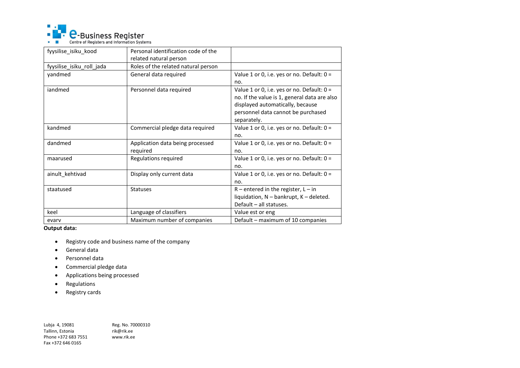

| fyysilise isiku kood      | Personal identification code of the |                                              |
|---------------------------|-------------------------------------|----------------------------------------------|
|                           | related natural person              |                                              |
| fyysilise_isiku_roll_jada | Roles of the related natural person |                                              |
| yandmed                   | General data required               | Value 1 or 0, i.e. yes or no. Default: $0 =$ |
|                           |                                     | no.                                          |
| iandmed                   | Personnel data required             | Value 1 or 0, i.e. yes or no. Default: 0 =   |
|                           |                                     | no. If the value is 1, general data are also |
|                           |                                     | displayed automatically, because             |
|                           |                                     | personnel data cannot be purchased           |
|                           |                                     | separately.                                  |
| kandmed                   | Commercial pledge data required     | Value 1 or 0, i.e. yes or no. Default: $0 =$ |
|                           |                                     | no.                                          |
| dandmed                   | Application data being processed    | Value 1 or 0, i.e. yes or no. Default: $0 =$ |
|                           | required                            | no.                                          |
| maarused                  | Regulations required                | Value 1 or 0, i.e. yes or no. Default: $0 =$ |
|                           |                                     | no.                                          |
| ainult_kehtivad           | Display only current data           | Value 1 or 0, i.e. yes or no. Default: $0 =$ |
|                           |                                     | no.                                          |
| staatused                 | <b>Statuses</b>                     | $R$ – entered in the register, $L - in$      |
|                           |                                     | liquidation, N - bankrupt, K - deleted.      |
|                           |                                     | Default - all statuses.                      |
| keel                      | Language of classifiers             | Value est or eng                             |
| evary                     | Maximum number of companies         | Default - maximum of 10 companies            |

**Output data:**

- Registry code and business name of the company
- General data
- Personnel data
- Commercial pledge data
- Applications being processed
- Regulations
- Registry cards

Lubja 4, 19081 Reg. No. 70000310<br>Tallinn, Estonia rik@rik.ee Tallinn, Estonia<br>Phone +372 683 7551 www.rik.ee Phone +372 683 7551 Fax +372 646 0165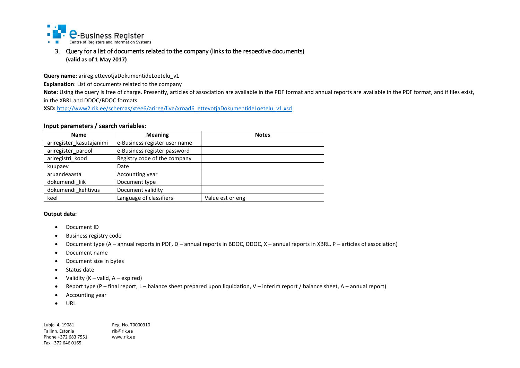

<span id="page-6-0"></span>3. Query for a list of documents related to the company (links to the respective documents) **(valid as of 1 May 2017)**

**Query name:** arireg.ettevotjaDokumentideLoetelu\_v1

**Explanation**: List of documents related to the company

**Note:** Using the query is free of charge. Presently, articles of association are available in the PDF format and annual reports are available in the PDF format, and if files exist, in the XBRL and DDOC/BDOC formats.

**XSD:** [http://www2.rik.ee/schemas/xtee6/arireg/live/xroad6\\_ettevotjaDokumentideLoetelu\\_v1.xsd](http://www2.rik.ee/schemas/xtee6/arireg/live/xroad6_ettevotjaDokumentideLoetelu_v1.xsd)

#### **Input parameters / search variables:**

| <b>Name</b>              | <b>Meaning</b>                | <b>Notes</b>     |
|--------------------------|-------------------------------|------------------|
| ariregister_kasutajanimi | e-Business register user name |                  |
| ariregister parool       | e-Business register password  |                  |
| ariregistri_kood         | Registry code of the company  |                  |
| kuupaev                  | Date                          |                  |
| aruandeaasta             | Accounting year               |                  |
| dokumendi liik           | Document type                 |                  |
| dokumendi kehtivus       | Document validity             |                  |
| keel                     | Language of classifiers       | Value est or eng |

#### **Output data:**

- Document ID
- Business registry code
- Document type (A annual reports in PDF, D annual reports in BDOC, DDOC, X annual reports in XBRL, P articles of association)
- Document name
- Document size in bytes
- Status date
- Validity  $(K valid, A expired)$
- Report type (P final report, L balance sheet prepared upon liquidation, V interim report / balance sheet, A annual report)
- Accounting year
- $\bullet$  URL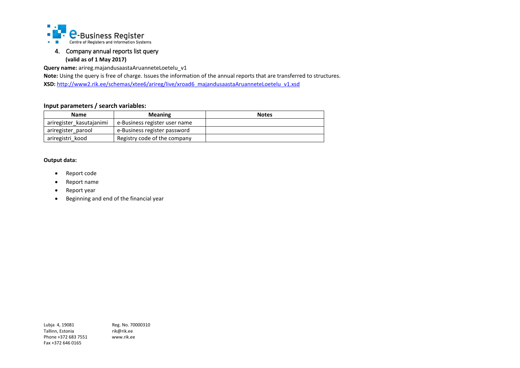

## <span id="page-7-0"></span>4. Company annual reports list query **(valid as of 1 May 2017)**

**Query name:** arireg.majandusaastaAruanneteLoetelu\_v1

**Note:** Using the query is free of charge. Issues the information of the annual reports that are transferred to structures. **XSD:** http://www2.rik.ee/schemas/xtee6/arireg/live/xroad6\_majandusaastaAruanneteLoetelu\_v1.xsd

## **Input parameters / search variables:**

| <b>Name</b>              | <b>Meaning</b>                | <b>Notes</b> |
|--------------------------|-------------------------------|--------------|
| ariregister kasutajanimi | e-Business register user name |              |
| ariregister parool       | e-Business register password  |              |
| ariregistri kood         | Registry code of the company  |              |

#### **Output data:**

- Report code
- Report name
- Report year
- Beginning and end of the financial year

Lubja 4, 19081 Reg. No. 70000310 Tallinn, Estonia<br>Phone +372 683 7551 www.rik.ee Phone +372 683 7551 Fax +372 646 0165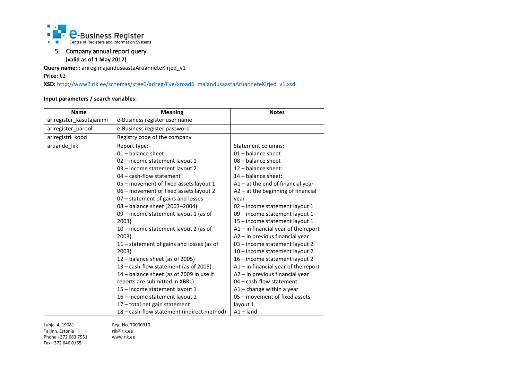

## <span id="page-8-0"></span>5. Company annual report query **(valid as of 1 May 2017)**

**Query name:** : arireg.majandusaastaAruanneteKirjed\_v1

**Price:** €2

XSD: http://www2.rik.ee/schemas/xtee6/arireg/live/xroad6\_majandusaastaAruanneteKirjed\_v1.xsd

### **Input parameters / search variables:**

| <b>Name</b>              | <b>Meaning</b>                             | <b>Notes</b>                           |
|--------------------------|--------------------------------------------|----------------------------------------|
| ariregister_kasutajanimi | e-Business register user name              |                                        |
| ariregister parool       | e-Business register password               |                                        |
| ariregistri kood         | Registry code of the company               |                                        |
| aruande_liik             | Report type:                               | Statement columns:                     |
|                          | 01 - balance sheet                         | $01 -$ balance sheet                   |
|                          | 02 - income statement layout 1             | 08 - balance sheet                     |
|                          | 03 - income statement layout 2             | $12$ - balance sheet:                  |
|                          | 04 - cash-flow statement                   | 14 - balance sheet:                    |
|                          | 05 - movement of fixed assets layout 1     | $A1 - at$ the end of financial year    |
|                          | 06 - movement of fixed assets layout 2     | A2 - at the beginning of financial     |
|                          | 07 - statement of gains and losses         | vear                                   |
|                          | 08 - balance sheet (2003-2004)             | 02 - income statement layout 1         |
|                          | 09 - income statement layout 1 (as of      | 09 - income statement layout 1         |
|                          | 2003)                                      | 15 - income statement layout 1         |
|                          | 10 – income statement layout 2 (as of      | $A1$ – in financial year of the report |
|                          | 2003)                                      | A2 - in previous financial year        |
|                          | 11 - statement of gains and losses (as of  | 03 - income statement layout 2         |
|                          | 2003)                                      | 10 - income statement layout 2         |
|                          | 12 - balance sheet (as of 2005)            | 16 - income statement layout 2         |
|                          | 13 – cash-flow statement (as of 2005)      | $A1$ – in financial year of the report |
|                          | 14 - balance sheet (as of 2009 in use if   | A2 - in previous financial year        |
|                          | reports are submitted in XBRL)             | 04 - cash-flow statement               |
|                          | 15 - income statement layout 1             | $A1$ – change within a year            |
|                          | 16 - Income statement layout 2             | 05 - movement of fixed assets          |
|                          | 17 - total net gain statement              | layout 1                               |
|                          | 18 - cash-flow statement (indirect method) | $A1$ – land                            |

Lubja 4, 19081 Reg. No. 70000310<br>Tallinn, Estonia *rik@rik.ee* Tallinn, Estonia<br>Phone +372 683 7551 www.rik.ee Phone +372 683 7551 Fax +372 646 0165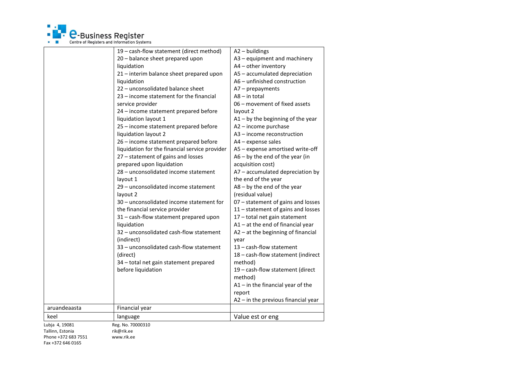

|                                                           | 19 - cash-flow statement (direct method)<br>20 - balance sheet prepared upon<br>liquidation<br>21 - interim balance sheet prepared upon<br>liquidation<br>22 - unconsolidated balance sheet<br>23 - income statement for the financial<br>service provider<br>24 - income statement prepared before<br>liquidation layout 1<br>25 - income statement prepared before<br>liquidation layout 2<br>26 - income statement prepared before<br>liquidation for the financial service provider<br>27 - statement of gains and losses<br>prepared upon liquidation<br>28 - unconsolidated income statement<br>layout 1<br>29 – unconsolidated income statement<br>layout 2<br>30 - unconsolidated income statement for<br>the financial service provider | A2 - buildings<br>A3 - equipment and machinery<br>A4 - other inventory<br>A5 - accumulated depreciation<br>A6 - unfinished construction<br>$A7$ – prepayments<br>$AS - in total$<br>06 - movement of fixed assets<br>layout 2<br>$A1 - by$ the beginning of the year<br>A2 - income purchase<br>A3 - income reconstruction<br>A4 - expense sales<br>A5 - expense amortised write-off<br>$A6 - by$ the end of the year (in<br>acquisition cost)<br>A7 - accumulated depreciation by<br>the end of the year<br>$A8 - by$ the end of the year<br>(residual value)<br>07 - statement of gains and losses<br>11 - statement of gains and losses |
|-----------------------------------------------------------|--------------------------------------------------------------------------------------------------------------------------------------------------------------------------------------------------------------------------------------------------------------------------------------------------------------------------------------------------------------------------------------------------------------------------------------------------------------------------------------------------------------------------------------------------------------------------------------------------------------------------------------------------------------------------------------------------------------------------------------------------|--------------------------------------------------------------------------------------------------------------------------------------------------------------------------------------------------------------------------------------------------------------------------------------------------------------------------------------------------------------------------------------------------------------------------------------------------------------------------------------------------------------------------------------------------------------------------------------------------------------------------------------------|
|                                                           | 31 - cash-flow statement prepared upon<br>liquidation<br>32 - unconsolidated cash-flow statement<br>(indirect)<br>33 - unconsolidated cash-flow statement<br>(direct)<br>34 - total net gain statement prepared<br>before liquidation                                                                                                                                                                                                                                                                                                                                                                                                                                                                                                            | 17 - total net gain statement<br>$A1 - at$ the end of financial year<br>$A2 - at$ the beginning of financial<br>year<br>13 - cash-flow statement<br>18 - cash-flow statement (indirect<br>method)<br>19 - cash-flow statement (direct<br>method)<br>$A1$ – in the financial year of the<br>report<br>A2 - in the previous financial year                                                                                                                                                                                                                                                                                                   |
| aruandeaasta                                              | Financial year                                                                                                                                                                                                                                                                                                                                                                                                                                                                                                                                                                                                                                                                                                                                   |                                                                                                                                                                                                                                                                                                                                                                                                                                                                                                                                                                                                                                            |
| keel                                                      | language                                                                                                                                                                                                                                                                                                                                                                                                                                                                                                                                                                                                                                                                                                                                         | Value est or eng                                                                                                                                                                                                                                                                                                                                                                                                                                                                                                                                                                                                                           |
| Lubja 4, 19081<br>Tallinn, Estonia<br>Phone +372 683 7551 | Reg. No. 70000310<br>rik@rik.ee<br>www.rik.ee                                                                                                                                                                                                                                                                                                                                                                                                                                                                                                                                                                                                                                                                                                    |                                                                                                                                                                                                                                                                                                                                                                                                                                                                                                                                                                                                                                            |

Fax +372 646 0165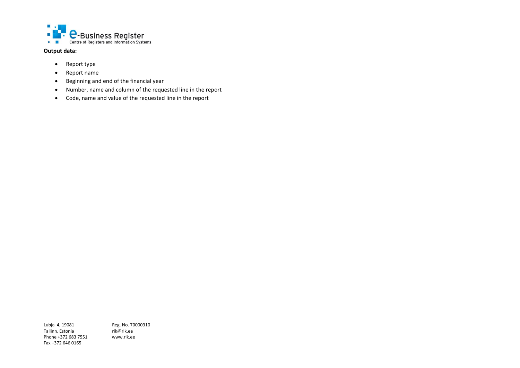

**Output data:**

- Report type
- Report name
- Beginning and end of the financial year
- Number, name and column of the requested line in the report
- Code, name and value of the requested line in the report

Tallinn, Estonia<br>Phone +372 683 7551 www.rik.ee Phone +372 683 7551 Fax +372 646 0165

Lubja 4, 19081 Reg. No. 70000310<br>Tallinn, Estonia rik@rik.ee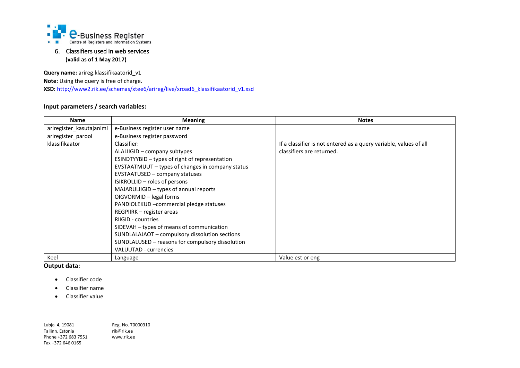

## <span id="page-11-0"></span>6. Classifiers used in web services **(valid as of 1 May 2017)**

**Query name:** arireg.klassifikaatorid\_v1 **Note:** Using the query is free of charge.

XSD: http://www2.rik.ee/schemas/xtee6/arireg/live/xroad6\_klassifikaatorid\_v1.xsd

## **Input parameters / search variables:**

| <b>Name</b>              | <b>Meaning</b>                                   | <b>Notes</b>                                                      |
|--------------------------|--------------------------------------------------|-------------------------------------------------------------------|
| ariregister kasutajanimi | e-Business register user name                    |                                                                   |
| ariregister parool       | e-Business register password                     |                                                                   |
| klassifikaator           | Classifier:                                      | If a classifier is not entered as a query variable, values of all |
|                          | ALALIIGID - company subtypes                     | classifiers are returned.                                         |
|                          | ESINDTYYBID - types of right of representation   |                                                                   |
|                          | EVSTAATMUUT – types of changes in company status |                                                                   |
|                          | <b>EVSTAATUSED - company statuses</b>            |                                                                   |
|                          | ISIKROLLID - roles of persons                    |                                                                   |
|                          | MAJARULIIGID – types of annual reports           |                                                                   |
|                          | OIGVORMID - legal forms                          |                                                                   |
|                          | PANDIOLEKUD - commercial pledge statuses         |                                                                   |
|                          | REGPIIRK – register areas                        |                                                                   |
|                          | RIIGID - countries                               |                                                                   |
|                          | SIDEVAH - types of means of communication        |                                                                   |
|                          | SUNDLALAJAOT – compulsory dissolution sections   |                                                                   |
|                          | SUNDLALUSED – reasons for compulsory dissolution |                                                                   |
|                          | <b>VALUUTAD - currencies</b>                     |                                                                   |
| Keel                     | Language                                         | Value est or eng                                                  |

**Output data:**

- Classifier code
- Classifier name
- Classifier value

Lubja 4, 19081 Reg. No. 70000310<br>Tallinn, Estonia *rik@rik.ee* Tallinn, Estonia<br>
Phone +372 683 7551 www.rik.ee Phone +372 683 7551 Fax +372 646 0165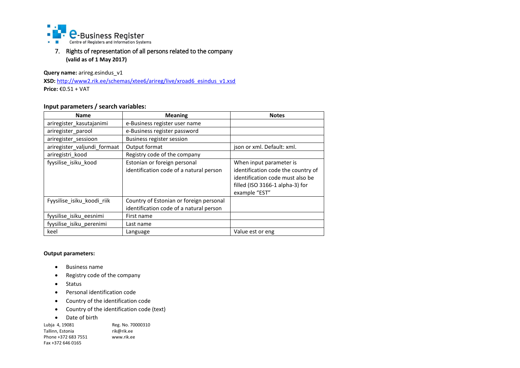

<span id="page-12-0"></span>7. Rights of representation of all persons related to the company **(valid as of 1 May 2017)**

**Query name:** arireg.esindus\_v1

**XSD:** http://www2.rik.ee/schemas/xtee6/arireg/live/xroad6\_esindus\_v1.xsd **Price:** €0.51 + VAT

## **Input parameters / search variables:**

| <b>Name</b>                  | <b>Meaning</b>                                                                     | <b>Notes</b>                                                                                                               |
|------------------------------|------------------------------------------------------------------------------------|----------------------------------------------------------------------------------------------------------------------------|
| ariregister kasutajanimi     | e-Business register user name                                                      |                                                                                                                            |
| ariregister parool           | e-Business register password                                                       |                                                                                                                            |
| ariregister_sessioon         | Business register session                                                          |                                                                                                                            |
| ariregister valjundi formaat | Output format                                                                      | json or xml. Default: xml.                                                                                                 |
| ariregistri_kood             | Registry code of the company                                                       |                                                                                                                            |
| fyysilise isiku kood         | Estonian or foreign personal                                                       | When input parameter is                                                                                                    |
|                              | identification code of a natural person                                            | identification code the country of<br>identification code must also be<br>filled (ISO 3166-1 alpha-3) for<br>example "EST" |
| Fyysilise isiku koodi riik   | Country of Estonian or foreign personal<br>identification code of a natural person |                                                                                                                            |
| fyysilise_isiku_eesnimi      | First name                                                                         |                                                                                                                            |
| fyysilise isiku perenimi     | Last name                                                                          |                                                                                                                            |
| keel                         | Language                                                                           | Value est or eng                                                                                                           |

#### **Output parameters:**

- Business name
- Registry code of the company
- Status
- Personal identification code
- Country of the identification code
- Country of the identification code (text)
- Date of birth

Lubja 4, 19081 Reg. No. 70000310<br>Tallinn, Estonia rik@rik.ee Tallinn, Estonia<br>Phone +372 683 7551 www.rik.ee Phone +372 683 7551 Fax +372 646 0165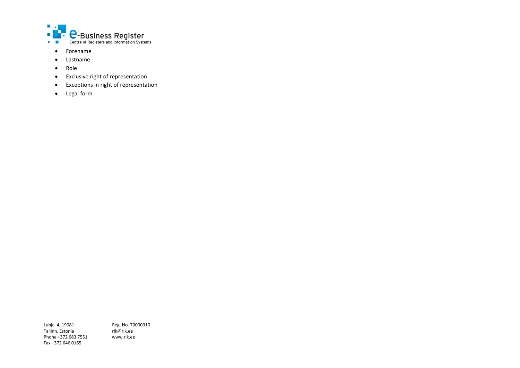

- Forename
- Lastname
- Role
- Exclusive right of representation
- Exceptions in right of representation
- Legal form

Tallinn, Estonia<br>Phone +372 683 7551 www.rik.ee Phone +372 683 7551 Fax +372 646 0165

Lubja 4, 19081 Reg. No. 70000310<br>Tallinn, Estonia *rik@rik.ee*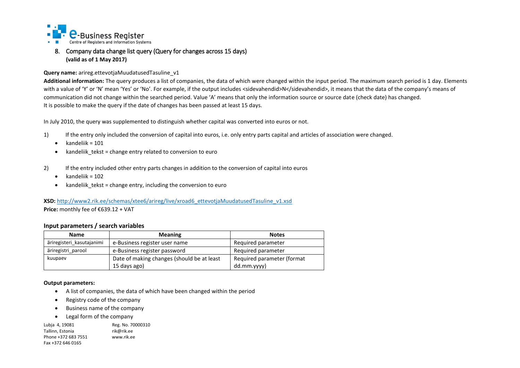

## <span id="page-14-0"></span>8. Company data change list query (Query for changes across 15 days) **(valid as of 1 May 2017)**

#### **Query name:** arireg.ettevotjaMuudatusedTasuline\_v1

**Additional information:** The query produces a list of companies, the data of which were changed within the input period. The maximum search period is 1 day. Elements with a value of 'Y' or 'N' mean 'Yes' or 'No'. For example, if the output includes <sidevahendid>N</sidevahendid>, it means that the data of the company's means of communication did not change within the searched period. Value 'A' means that only the information source or source date (check date) has changed. It is possible to make the query if the date of changes has been passed at least 15 days.

In July 2010, the query was supplemented to distinguish whether capital was converted into euros or not.

- 1) If the entry only included the conversion of capital into euros, i.e. only entry parts capital and articles of association were changed.
	- $\bullet$  kandeliik = 101
	- kandeliik tekst = change entry related to conversion to euro
- 2) If the entry included other entry parts changes in addition to the conversion of capital into euros
	- $\bullet$  kandeliik = 102
	- kandeliik\_tekst = change entry, including the conversion to euro

#### **XSD:** [http://www2.rik.ee/schemas/xtee6/arireg/live/xroad6\\_ettevotjaMuudatusedTasuline\\_v1.xsd](http://www2.rik.ee/schemas/xtee6/arireg/live/xroad6_ettevotjaMuudatusedTasuline_v1.xsd) **Price:** monthly fee of €639.12 + VAT

#### **Input parameters / search variables**

| <b>Name</b>               | <b>Meaning</b>                             | <b>Notes</b>               |
|---------------------------|--------------------------------------------|----------------------------|
| äriregisteri kasutajanimi | e-Business register user name              | Required parameter         |
| äriregistri parool        | e-Business register password               | Required parameter         |
| kuupaev                   | Date of making changes (should be at least | Required parameter (format |
|                           | 15 days ago)                               | dd.mm.yyyy)                |

#### **Output parameters:**

- A list of companies, the data of which have been changed within the period
- Registry code of the company
- Business name of the company
- Legal form of the company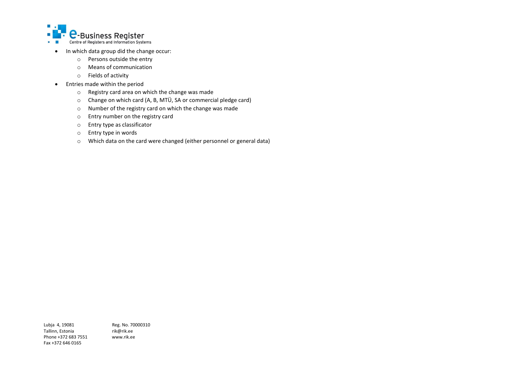

- In which data group did the change occur:
	- o Persons outside the entry
	- o Means of communication
	- o Fields of activity
- Entries made within the period
	- o Registry card area on which the change was made
	- o Change on which card (A, B, MTÜ, SA or commercial pledge card)
	- o Number of the registry card on which the change was made
	- o Entry number on the registry card
	- o Entry type as classificator
	- o Entry type in words
	- o Which data on the card were changed (either personnel or general data)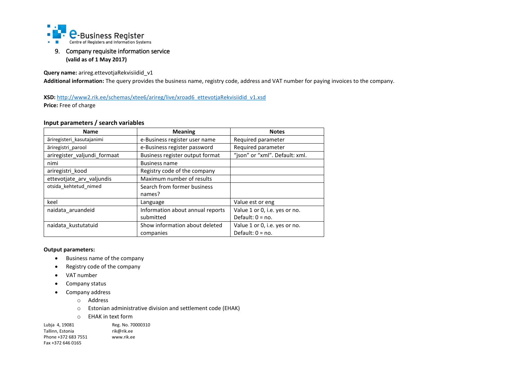

## <span id="page-16-0"></span>9. Company requisite information service **(valid as of 1 May 2017)**

**Query name:** arireg.ettevotjaRekvisiidid\_v1

**Additional information:** The query provides the business name, registry code, address and VAT number for paying invoices to the company.

XSD: [http://www2.rik.ee/schemas/xtee6/arireg/live/xroad6\\_ettevotjaRekvisiidid\\_v1.xsd](http://www2.rik.ee/schemas/xtee6/arireg/live/xroad6_ettevotjaRekvisiidid_v1.xsd)

**Price:** Free of charge

#### **Input parameters / search variables**

| <b>Name</b>                  | <b>Meaning</b>                                                    | <b>Notes</b>                  |
|------------------------------|-------------------------------------------------------------------|-------------------------------|
| äriregisteri kasutajanimi    | e-Business register user name                                     | Required parameter            |
| äriregistri parool           | e-Business register password                                      | Required parameter            |
| ariregister_valjundi_formaat | "json" or "xml". Default: xml.<br>Business register output format |                               |
| nimi                         | <b>Business name</b>                                              |                               |
| ariregistri kood             | Registry code of the company                                      |                               |
| ettevotjate_arv_valjundis    | Maximum number of results                                         |                               |
| otsida kehtetud nimed        | Search from former business                                       |                               |
|                              | names?                                                            |                               |
| keel                         | Language                                                          | Value est or eng              |
| naidata aruandeid            | Information about annual reports                                  | Value 1 or 0, i.e. yes or no. |
|                              | submitted                                                         | Default: $0 = no$ .           |
| naidata kustutatuid          | Show information about deleted                                    | Value 1 or 0, i.e. yes or no. |
|                              | companies                                                         | Default: $0 = no$ .           |

#### **Output parameters:**

- Business name of the company
- Registry code of the company
- VAT number
- Company status
- Company address
	- o Address
	- o Estonian administrative division and settlement code (EHAK)
	- o EHAK in text form

Lubja 4, 19081 Reg. No. 70000310<br>Tallinn, Estonia rik@rik.ee Tallinn, Estonia<br>Phone +372 683 7551 www.rik.ee Phone +372 683 7551 Fax +372 646 0165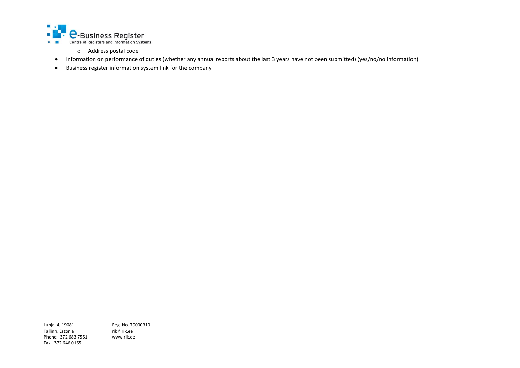

- o Address postal code
- Information on performance of duties (whether any annual reports about the last 3 years have not been submitted) (yes/no/no information)
- Business register information system link for the company

Tallinn, Estonia<br>Phone +372 683 7551 www.rik.ee Phone +372 683 7551 Fax +372 646 0165

Lubja 4, 19081 Reg. No. 70000310<br>Tallinn, Estonia *rik@rik.ee*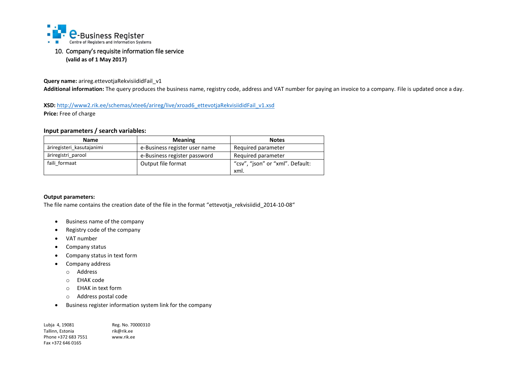

## <span id="page-18-0"></span>10. Company's requisite information file service **(valid as of 1 May 2017)**

**Query name:** arireg.ettevotjaRekvisiididFail\_v1

**Additional information:** The query produces the business name, registry code, address and VAT number for paying an invoice to a company. File is updated once a day.

XSD: [http://www2.rik.ee/schemas/xtee6/arireg/live/xroad6\\_ettevotjaRekvisiididFail\\_v1.xsd](http://www2.rik.ee/schemas/xtee6/arireg/live/xroad6_ettevotjaRekvisiididFail_v1.xsd) **Price:** Free of charge

## **Input parameters / search variables:**

| <b>Name</b>               | <b>Meaning</b>                | <b>Notes</b>                     |
|---------------------------|-------------------------------|----------------------------------|
| äriregisteri kasutajanimi | e-Business register user name | Required parameter               |
| äriregistri parool        | e-Business register password  | Required parameter               |
| faili formaat             | Output file format            | "csv", "json" or "xml". Default: |
|                           |                               | xml.                             |

#### **Output parameters:**

The file name contains the creation date of the file in the format "ettevotja\_rekvisiidid\_2014-10-08"

- Business name of the company
- Registry code of the company
- VAT number
- Company status
- Company status in text form
- Company address
	- o Address
	- o EHAK code
	- o EHAK in text form
	- o Address postal code
- Business register information system link for the company

| Lubja 4, 19081      | Reg. No. 70000310 |
|---------------------|-------------------|
| Tallinn. Estonia    | rik@rik.ee        |
| Phone +372 683 7551 | www.rik.ee        |
| Fax +372 646 0165   |                   |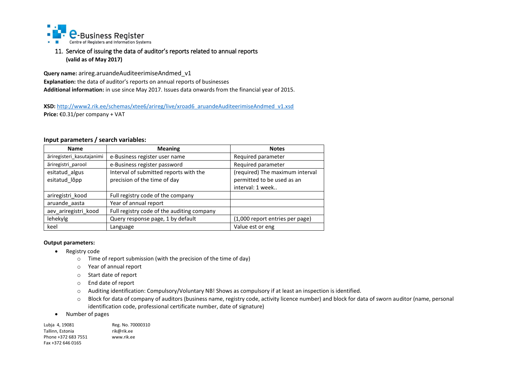

## <span id="page-19-0"></span>11. Service of issuing the data of auditor's reports related to annual reports **(valid as of May 2017)**

**Query name:** arireg.aruandeAuditeerimiseAndmed\_v1 **Explanation:** the data of auditor's reports on annual reports of businesses **Additional information:** in use since May 2017. Issues data onwards from the financial year of 2015.

**XSD:** [http://www2.rik.ee/schemas/xtee6/arireg/live/xroad6\\_aruandeAuditeerimiseAndmed\\_v1.xsd](http://www2.rik.ee/schemas/xtee6/arireg/live/xroad6_aruandeAuditeerimiseAndmed_v1.xsd) **Price:** €0.31/per company + VAT

#### **Input parameters / search variables:**

| <b>Name</b>                     | <b>Meaning</b>                                                         | <b>Notes</b>                                                                      |
|---------------------------------|------------------------------------------------------------------------|-----------------------------------------------------------------------------------|
| äriregisteri kasutajanimi       | e-Business register user name                                          | Required parameter                                                                |
| äriregistri parool              | e-Business register password                                           | Required parameter                                                                |
| esitatud algus<br>esitatud lõpp | Interval of submitted reports with the<br>precision of the time of day | (required) The maximum interval<br>permitted to be used as an<br>interval: 1 week |
| ariregistri kood                | Full registry code of the company                                      |                                                                                   |
| aruande_aasta                   | Year of annual report                                                  |                                                                                   |
| aev ariregistri kood            | Full registry code of the auditing company                             |                                                                                   |
| lehekylg                        | Query response page, 1 by default                                      | (1,000 report entries per page)                                                   |
| keel                            | Language                                                               | Value est or eng                                                                  |

#### **Output parameters:**

- Registry code
	- o Time of report submission (with the precision of the time of day)
	- o Year of annual report
	- o Start date of report
	- o End date of report
	- o Auditing identification: Compulsory/Voluntary NB! Shows as compulsory if at least an inspection is identified.
	- o Block for data of company of auditors (business name, registry code, activity licence number) and block for data of sworn auditor (name, personal identification code, professional certificate number, date of signature)
- Number of pages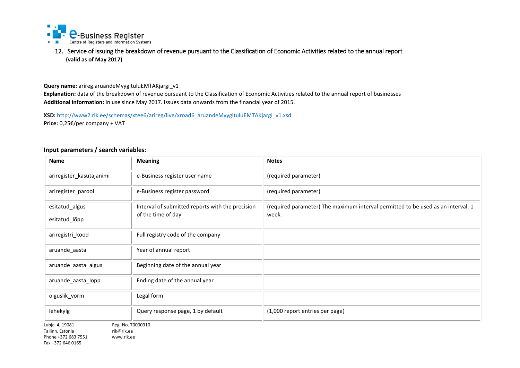

<span id="page-20-0"></span>12. Service of issuing the breakdown of revenue pursuant to the Classification of Economic Activities related to the annual report **(valid as of May 2017)**

**Query name:** arireg.aruandeMyygituluEMTAKjargi\_v1

**Explanation:** data of the breakdown of revenue pursuant to the Classification of Economic Activities related to the annual report of businesses **Additional information:** in use since May 2017. Issues data onwards from the financial year of 2015.

**XSD:** http://www2.rik.ee/schemas/xtee6/arireg/live/xroad6\_aruandeMyygituluEMTAKjargi\_v1.xsd **Price:** 0,25€/per company + VAT

#### **Input parameters / search variables:**

| <b>Name</b>                                                                                                | <b>Meaning</b>                                   | <b>Notes</b>                                                                     |
|------------------------------------------------------------------------------------------------------------|--------------------------------------------------|----------------------------------------------------------------------------------|
| ariregister_kasutajanimi                                                                                   | e-Business register user name                    | (required parameter)                                                             |
| ariregister_parool                                                                                         | e-Business register password                     | (required parameter)                                                             |
| esitatud_algus                                                                                             | Interval of submitted reports with the precision | (required parameter) The maximum interval permitted to be used as an interval: 1 |
| esitatud_lõpp                                                                                              | of the time of day                               | week.                                                                            |
| ariregistri_kood                                                                                           | Full registry code of the company                |                                                                                  |
| aruande_aasta                                                                                              | Year of annual report                            |                                                                                  |
| aruande_aasta_algus                                                                                        | Beginning date of the annual year                |                                                                                  |
| aruande_aasta_lopp                                                                                         | Ending date of the annual year                   |                                                                                  |
| oiguslik_vorm                                                                                              | Legal form                                       |                                                                                  |
| lehekylg                                                                                                   | Query response page, 1 by default                | (1,000 report entries per page)                                                  |
| Lubja 4, 19081<br>Tallinn, Estonia<br>rik@rik.ee<br>Phone +372 683 7551<br>www.rik.ee<br>Fax +372 646 0165 | Reg. No. 70000310                                |                                                                                  |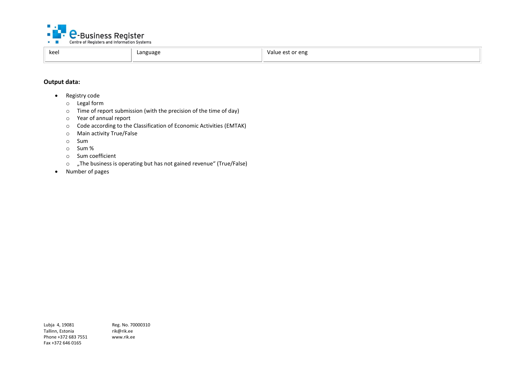

| keel<br>Language<br>eng -<br>Value<br>est or ؛<br>ັ<br>. |  |  |  |
|----------------------------------------------------------|--|--|--|
|----------------------------------------------------------|--|--|--|

## **Output data:**

- Registry code
	- o Legal form
	- o Time of report submission (with the precision of the time of day)
	- o Year of annual report
	- o Code according to the Classification of Economic Activities (EMTAK)
	- o Main activity True/False
	- o Sum
	- o Sum %
	- o Sum coefficient
	- $\circ$  , The business is operating but has not gained revenue" (True/False)
- Number of pages

Lubja 4, 19081 Reg. No. 70000310<br>Tallinn, Estonia rik@rik.ee Tallinn, Estonia rik@rik.ee<br>Phone +372 683 7551 www.rik.ee Phone +372 683 7551 Fax +372 646 0165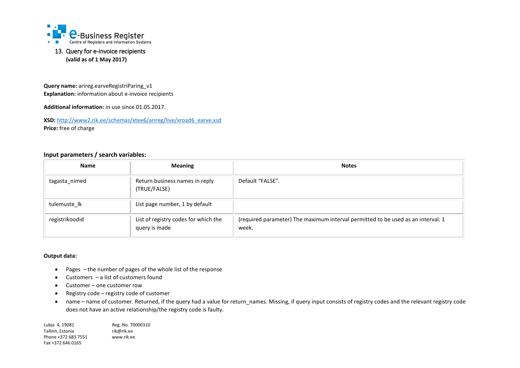

## <span id="page-22-0"></span>13. Query for e-invoice recipients **(valid as of 1 May 2017)**

**Query name:** arireg.earveRegistriParing\_v1 **Explanation:** information about e-invoice recipients

**Additional information:** in use since 01.05.2017.

**XSD:** [http://www2.rik.ee/schemas/xtee6/arireg/live/xroad6\\_earve.xsd](http://www2.rik.ee/schemas/xtee6/arireg/live/xroad6_earve.xsd) **Price:** free of charge

#### **Input parameters / search variables:**

| <b>Name</b>    | <b>Meaning</b>                                        | <b>Notes</b>                                                                              |
|----------------|-------------------------------------------------------|-------------------------------------------------------------------------------------------|
| tagasta_nimed  | Return business names in reply<br>(TRUE/FALSE)        | Default "FALSE".                                                                          |
| tulemuste lk   | List page number, 1 by default                        |                                                                                           |
| registrikoodid | List of registry codes for which the<br>query is made | (required parameter) The maximum interval permitted to be used as an interval: 1<br>week. |

#### **Output data:**

- Pages the number of pages of the whole list of the response
- Customers a list of customers found
- Customer one customer row
- Registry code registry code of customer
- name name of customer. Returned, if the query had a value for return\_names. Missing, if query input consists of registry codes and the relevant registry code does not have an active relationship/the registry code is faulty.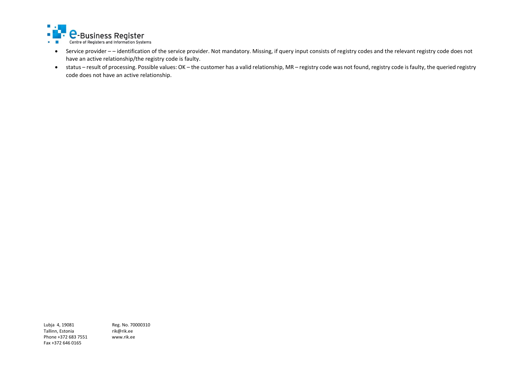

- Service provider – identification of the service provider. Not mandatory. Missing, if query input consists of registry codes and the relevant registry code does not have an active relationship/the registry code is faulty.
- status result of processing. Possible values: OK the customer has a valid relationship, MR registry code was not found, registry code is faulty, the queried registry code does not have an active relationship.

Tallinn, Estonia<br>Phone +372 683 7551 www.rik.ee Phone +372 683 7551 Fax +372 646 0165

Lubja 4, 19081 Reg. No. 70000310<br>Tallinn, Estonia rik@rik.ee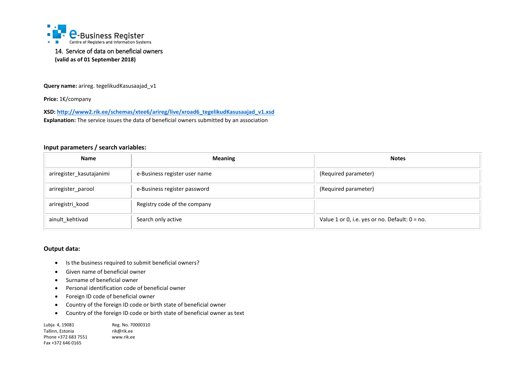

## <span id="page-24-0"></span>14. Service of data on beneficial owners **(valid as of 01 September 2018)**

**Query name:** arireg. tegelikudKasusaajad\_v1

**Price:** 1€/company

**XSD[: http://www2.rik.ee/schemas/xtee6/arireg/live/xroad6\\_tegelikudKasusaajad\\_v1.xsd](http://www2.rik.ee/schemas/xtee6/arireg/live/xroad6_tegelikudKasusaajad_v1.xsd) Explanation:** The service issues the data of beneficial owners submitted by an association

#### **Input parameters / search variables:**

| <b>Name</b>              | <b>Meaning</b>                | <b>Notes</b>                                      |
|--------------------------|-------------------------------|---------------------------------------------------|
| ariregister_kasutajanimi | e-Business register user name | (Required parameter)                              |
| ariregister_parool       | e-Business register password  | (Required parameter)                              |
| ariregistri_kood         | Registry code of the company  |                                                   |
| ainult kehtivad          | Search only active            | Value 1 or 0, i.e. yes or no. Default: $0 = no$ . |

#### **Output data:**

- Is the business required to submit beneficial owners?
- Given name of beneficial owner
- Surname of beneficial owner
- Personal identification code of beneficial owner
- Foreign ID code of beneficial owner
- Country of the foreign ID code or birth state of beneficial owner
- Country of the foreign ID code or birth state of beneficial owner as text